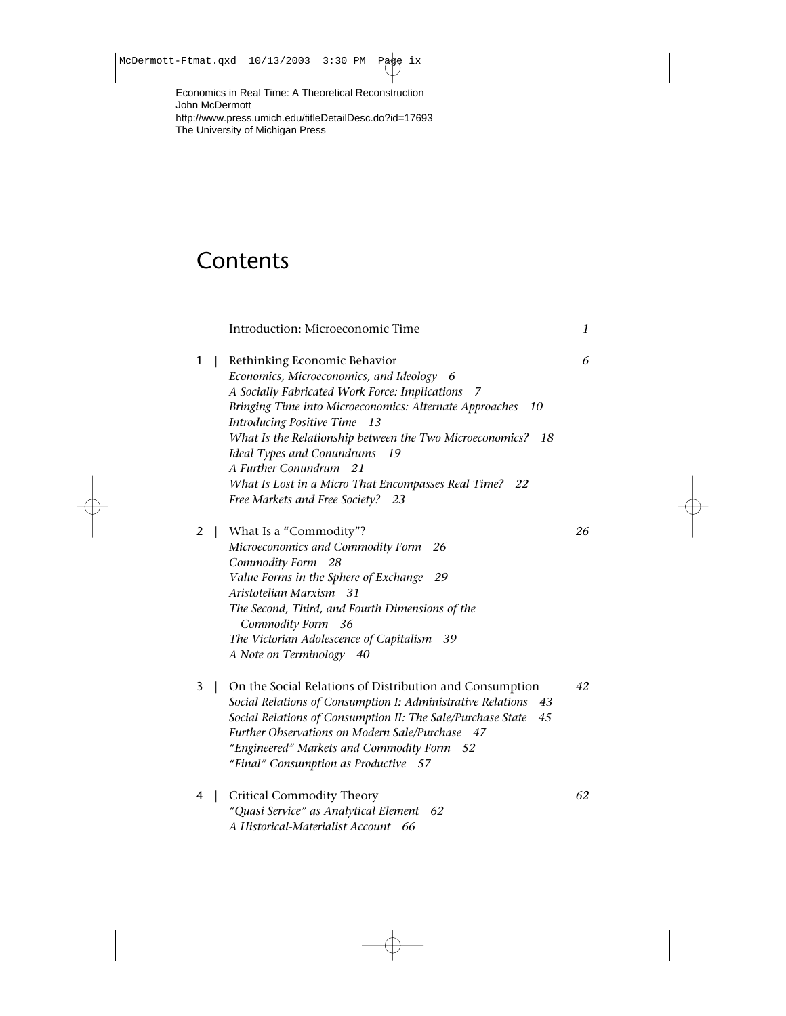Economics in Real Time: A Theoretical Reconstruction John McDermott http://www.press.umich.edu/titleDetailDesc.do?id=17693 The University of Michigan Press

## **Contents**

|   |                | Introduction: Microeconomic Time                                                                                                                                                                                                                                                                                                                                                                                                                               | 1  |
|---|----------------|----------------------------------------------------------------------------------------------------------------------------------------------------------------------------------------------------------------------------------------------------------------------------------------------------------------------------------------------------------------------------------------------------------------------------------------------------------------|----|
| 1 | $\mathbf{I}$   | Rethinking Economic Behavior<br>Economics, Microeconomics, and Ideology<br>-6<br>A Socially Fabricated Work Force: Implications<br>7<br>Bringing Time into Microeconomics: Alternate Approaches<br>10<br>Introducing Positive Time 13<br>What Is the Relationship between the Two Microeconomics? 18<br>Ideal Types and Conundrums 19<br>A Further Conundrum 21<br>What Is Lost in a Micro That Encompasses Real Time? 22<br>Free Markets and Free Society? 23 | 6  |
| 2 | $\mathbf{L}$   | What Is a "Commodity"?<br>Microeconomics and Commodity Form<br>-26<br>Commodity Form 28<br>Value Forms in the Sphere of Exchange<br>- 29<br>Aristotelian Marxism 31<br>The Second, Third, and Fourth Dimensions of the<br>Commodity Form 36<br>The Victorian Adolescence of Capitalism 39<br>A Note on Terminology 40                                                                                                                                          | 26 |
| 3 | $\overline{1}$ | On the Social Relations of Distribution and Consumption<br>Social Relations of Consumption I: Administrative Relations<br>43<br>Social Relations of Consumption II: The Sale/Purchase State<br>45<br>Further Observations on Modern Sale/Purchase 47<br>"Engineered" Markets and Commodity Form<br>- 52<br>"Final" Consumption as Productive 57                                                                                                                | 42 |
| 4 | $\overline{1}$ | <b>Critical Commodity Theory</b><br>"Quasi Service" as Analytical Element 62<br>A Historical-Materialist Account 66                                                                                                                                                                                                                                                                                                                                            | 62 |